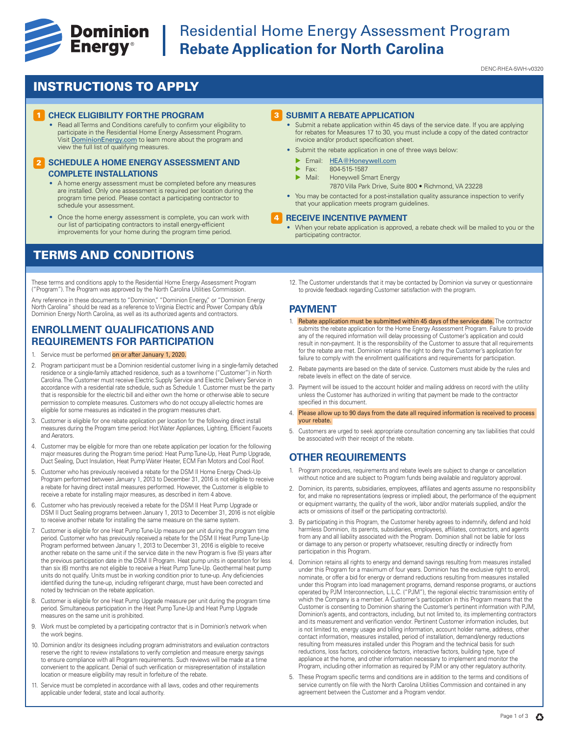

# **Example 19 Dominion** Residential Home Energy Assessment Program<br> **Energy**® Rebate Application for North Carolina **Rebate Application for North Carolina**

DENC-RHEA-5WH-v0320

## INSTRUCTIONS TO APPLY

#### **CHECK ELIGIBILITY FOR THE PROGRAM**

• Read all Terms and Conditions carefully to confirm your eligibility to participate in the Residential Home Energy Assessment Program. Visit DominionEnergy.com to learn more about the program and view the full list of qualifying measures.

#### **2 SCHEDULE A HOME ENERGY ASSESSMENT AND COMPLETE INSTALLATIONS**

- A home energy assessment must be completed before any measures are installed. Only one assessment is required per location during the program time period. Please contact a participating contractor to schedule your assessment.
- Once the home energy assessment is complete, you can work with our list of participating contractors to install energy-efficient improvements for your home during the program time period.

## TERMS AND CONDITIONS

These terms and conditions apply to the Residential Home Energy Assessment Program ("Program"). The Program was approved by the North Carolina Utilities Commission.

Any reference in these documents to "Dominion," "Dominion Energy," or "Dominion Energy<br>North Carolina" should be read as a reference to Virginia Electric and Power Company d/b/a Dominion Energy North Carolina, as well as its authorized agents and contractors.

## **ENROLLMENT QUALIFICATIONS AND REQUIREMENTS FOR PARTICIPATION**

- 1. Service must be performed on or after January 1, 2020.
- 2. Program participant must be a Dominion residential customer living in a single-family detached residence or a single-family attached residence, such as a townhome ("Customer") in North Carolina. The Customer must receive Electric Supply Service and Electric Delivery Service in accordance with a residential rate schedule, such as Schedule 1. Customer must be the party that is responsible for the electric bill and either own the home or otherwise able to secure permission to complete measures. Customers who do not occupy all-electric homes are eligible for some measures as indicated in the program measures chart.
- 3. Customer is eligible for one rebate application per location for the following direct install measures during the Program time period: Hot Water Appliances, Lighting, Efficient Faucets and Aerators.
- 4. Customer may be eligible for more than one rebate application per location for the following major measures during the Program time period: Heat Pump Tune-Up, Heat Pump Upgrade, Duct Sealing, Duct Insulation, Heat Pump Water Heater, ECM Fan Motors and Cool Roof.
- 5. Customer who has previously received a rebate for the DSM II Home Energy Check-Up Program performed between January 1, 2013 to December 31, 2016 is not eligible to receive a rebate for having direct install measures performed. However, the Customer is eligible to receive a rebate for installing major measures, as described in item 4 above.
- 6. Customer who has previously received a rebate for the DSM II Heat Pump Upgrade or DSM II Duct Sealing programs between January 1, 2013 to December 31, 2016 is not eligible to receive another rebate for installing the same measure on the same system.
- 7. Customer is eligible for one Heat Pump Tune-Up measure per unit during the program time period. Customer who has previously received a rebate for the DSM II Heat Pump Tune-Up Program performed between January 1, 2013 to December 31, 2016 is eligible to receive another rebate on the same unit if the service date in the new Program is five (5) years after the previous participation date in the DSM II Program. Heat pump units in operation for less than six (6) months are not eligible to receive a Heat Pump Tune-Up. Geothermal heat pump units do not qualify. Units must be in working condition prior to tune-up. Any deficiencies identified during the tune-up, including refrigerant charge, must have been corrected and noted by technician on the rebate application.
- 8. Customer is eligible for one Heat Pump Upgrade measure per unit during the program time period. Simultaneous participation in the Heat Pump Tune-Up and Heat Pump Upgrade measures on the same unit is prohibited.
- 9. Work must be completed by a participating contractor that is in Dominion's network when the work begins.
- 10. Dominion and/or its designees including program administrators and evaluation contractors reserve the right to review installations to verify completion and measure energy savings to ensure compliance with all Program requirements. Such reviews will be made at a time convenient to the applicant. Denial of such verification or misrepresentation of installation location or measure eligibility may result in forfeiture of the rebate.
- 11. Service must be completed in accordance with all laws, codes and other requirements applicable under federal, state and local authority.

#### **3** SUBMIT A REBATE APPLICATION

- Submit a rebate application within 45 days of the service date. If you are applying for rebates for Measures 17 to 30, you must include a copy of the dated contractor invoice and/or product specification sheet.
- Submit the rebate application in one of three ways below:
	- Email: HEA@Honeywell.com
	- $\triangleright$  Fax: 804-515-1587
	- Honeywell Smart Energy
		- 7870 Villa Park Drive, Suite 800 Richmond, VA 23228
- You may be contacted for a post-installation quality assurance inspection to verify that your application meets program guidelines.

#### **RECEIVE INCENTIVE PAYMENT** 4

- When your rebate application is approved, a rebate check will be mailed to you or the participating contractor.
- 12. The Customer understands that it may be contacted by Dominion via survey or questionnaire to provide feedback regarding Customer satisfaction with the program.

#### **PAYMENT**

- 1. Rebate application must be submitted within 45 days of the service date. The contractor submits the rebate application for the Home Energy Assessment Program. Failure to provide any of the required information will delay processing of Customer's application and could result in non-payment. It is the responsibility of the Customer to assure that all requirements for the rebate are met. Dominion retains the right to deny the Customer's application for failure to comply with the enrollment qualifications and requirements for participation.
- 2. Rebate payments are based on the date of service. Customers must abide by the rules and rebate levels in effect on the date of service.
- 3. Payment will be issued to the account holder and mailing address on record with the utility unless the Customer has authorized in writing that payment be made to the contractor specified in this document.
- 4. Please allow up to 90 days from the date all required information is received to process your rebate.
- 5. Customers are urged to seek appropriate consultation concerning any tax liabilities that could be associated with their receipt of the rebate.

## **OTHER REQUIREMENTS**

- 1. Program procedures, requirements and rebate levels are subject to change or cancellation without notice and are subject to Program funds being available and regulatory approval.
- 2. Dominion, its parents, subsidiaries, employees, affiliates and agents assume no responsibility for, and make no representations (express or implied) about, the performance of the equipment or equipment warranty, the quality of the work, labor and/or materials supplied, and/or the acts or omissions of itself or the participating contractor(s).
- 3. By participating in this Program, the Customer hereby agrees to indemnify, defend and hold harmless Dominion, its parents, subsidiaries, employees, affiliates, contractors, and agents from any and all liability associated with the Program. Dominion shall not be liable for loss or damage to any person or property whatsoever, resulting directly or indirectly from participation in this Program.
- 4. Dominion retains all rights to energy and demand savings resulting from measures installed under this Program for a maximum of four years. Dominion has the exclusive right to enroll, nominate, or offer a bid for energy or demand reductions resulting from measures installed under this Program into load management programs, demand response programs, or auctions operated by PJM Interconnection, L.L.C. ("PJM"), the regional electric transmission entity of which the Company is a member. A Customer's participation in this Program means that the Customer is consenting to Dominion sharing the Customer's pertinent information with PJM, Dominion's agents, and contractors, including, but not limited to, its implementing contractors and its measurement and verification vendor. Pertinent Customer information includes, but is not limited to, energy usage and billing information, account holder name, address, other contact information, measures installed, period of installation, demand/energy reductions resulting from measures installed under this Program and the technical basis for such reductions, loss factors, coincidence factors, interactive factors, building type, type of appliance at the home, and other information necessary to implement and monitor the Program, including other information as required by PJM or any other regulatory authority.
- 5. These Program specific terms and conditions are in addition to the terms and conditions of service currently on file with the North Carolina Utilities Commission and contained in any agreement between the Customer and a Program vendor.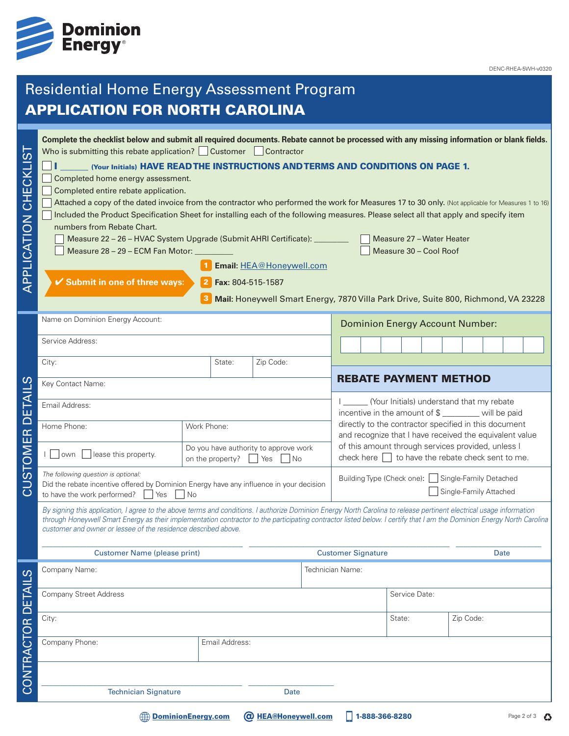

DENC-RHEA-5WH-v0320

# Residential Home Energy Assessment Program APPLICATION FOR NORTH CAROLINA

| APPLICATION FOR NORTH CAROLINA<br>Complete the checklist below and submit all required documents. Rebate cannot be processed with any missing information or blank fields.<br>Who is submitting this rebate application? Customer Contractor<br><b>CHECKLIST</b><br>Completed home energy assessment.<br>Completed entire rebate application.<br>Attached a copy of the dated invoice from the contractor who performed the work for Measures 17 to 30 only. (Not applicable for Measures 1 to 16)<br>Included the Product Specification Sheet for installing each of the following measures. Please select all that apply and specify item<br>APPLICATION<br>numbers from Rebate Chart.<br>Measure 22 - 26 - HVAC System Upgrade (Submit AHRI Certificate): ________<br>Measure 28 - 29 - ECM Fan Motor:<br>✔ Submit in one of three ways: | (Your Initials) HAVE READ THE INSTRUCTIONS AND TERMS AND CONDITIONS ON PAGE 1.                 | Email: HEA@Honeywell.com<br>Fax: 804-515-1587                                      |                                        |                                                                                                                                                                                                                     | Measure 27 - Water Heater<br>Measure 30 - Cool Roof                                                          |  |             |                          |
|---------------------------------------------------------------------------------------------------------------------------------------------------------------------------------------------------------------------------------------------------------------------------------------------------------------------------------------------------------------------------------------------------------------------------------------------------------------------------------------------------------------------------------------------------------------------------------------------------------------------------------------------------------------------------------------------------------------------------------------------------------------------------------------------------------------------------------------------|------------------------------------------------------------------------------------------------|------------------------------------------------------------------------------------|----------------------------------------|---------------------------------------------------------------------------------------------------------------------------------------------------------------------------------------------------------------------|--------------------------------------------------------------------------------------------------------------|--|-------------|--------------------------|
|                                                                                                                                                                                                                                                                                                                                                                                                                                                                                                                                                                                                                                                                                                                                                                                                                                             |                                                                                                | Mail: Honeywell Smart Energy, 7870 Villa Park Drive, Suite 800, Richmond, VA 23228 |                                        |                                                                                                                                                                                                                     |                                                                                                              |  |             |                          |
| Name on Dominion Energy Account:                                                                                                                                                                                                                                                                                                                                                                                                                                                                                                                                                                                                                                                                                                                                                                                                            |                                                                                                |                                                                                    | <b>Dominion Energy Account Number:</b> |                                                                                                                                                                                                                     |                                                                                                              |  |             |                          |
| Service Address:                                                                                                                                                                                                                                                                                                                                                                                                                                                                                                                                                                                                                                                                                                                                                                                                                            |                                                                                                |                                                                                    |                                        |                                                                                                                                                                                                                     |                                                                                                              |  |             |                          |
| City:                                                                                                                                                                                                                                                                                                                                                                                                                                                                                                                                                                                                                                                                                                                                                                                                                                       | State:                                                                                         | Zip Code:                                                                          |                                        |                                                                                                                                                                                                                     |                                                                                                              |  |             |                          |
| ഗ<br>Key Contact Name:                                                                                                                                                                                                                                                                                                                                                                                                                                                                                                                                                                                                                                                                                                                                                                                                                      |                                                                                                | <b>REBATE PAYMENT METHOD</b>                                                       |                                        |                                                                                                                                                                                                                     |                                                                                                              |  |             |                          |
| Email Address:                                                                                                                                                                                                                                                                                                                                                                                                                                                                                                                                                                                                                                                                                                                                                                                                                              |                                                                                                |                                                                                    |                                        | (Your Initials) understand that my rebate<br>incentive in the amount of \$ _______ will be paid<br>directly to the contractor specified in this document<br>and recognize that I have received the equivalent value |                                                                                                              |  |             |                          |
| ய<br>Home Phone:                                                                                                                                                                                                                                                                                                                                                                                                                                                                                                                                                                                                                                                                                                                                                                                                                            | Work Phone:                                                                                    |                                                                                    |                                        |                                                                                                                                                                                                                     |                                                                                                              |  |             |                          |
| STOMER<br>own                                                                                                                                                                                                                                                                                                                                                                                                                                                                                                                                                                                                                                                                                                                                                                                                                               | Do you have authority to approve work<br>lease this property.<br>on the property?<br>No<br>Yes |                                                                                    |                                        |                                                                                                                                                                                                                     | of this amount through services provided, unless I<br>check here $\Box$ to have the rebate check sent to me. |  |             |                          |
| The following question is optional:<br>Did the rebate incentive offered by Dominion Energy have any influence in your decision<br>ပ<br>to have the work performed?<br>Yes<br><b>No</b>                                                                                                                                                                                                                                                                                                                                                                                                                                                                                                                                                                                                                                                      |                                                                                                |                                                                                    |                                        | Building Type (Check one):   Single-Family Detached<br>Single-Family Attached                                                                                                                                       |                                                                                                              |  |             |                          |
| By signing this application, I agree to the above terms and conditions. I authorize Dominion Energy North Carolina to release pertinent electrical usage information<br>through Honeywell Smart Energy as their implementation contractor to the participating contractor listed below. I certify that I am the Dominion Energy North Carolina<br>customer and owner or lessee of the residence described above.                                                                                                                                                                                                                                                                                                                                                                                                                            |                                                                                                |                                                                                    |                                        |                                                                                                                                                                                                                     |                                                                                                              |  |             |                          |
|                                                                                                                                                                                                                                                                                                                                                                                                                                                                                                                                                                                                                                                                                                                                                                                                                                             | <b>Customer Name (please print)</b>                                                            |                                                                                    | <b>Customer Signature</b>              |                                                                                                                                                                                                                     |                                                                                                              |  | <b>Date</b> |                          |
| Company Name:                                                                                                                                                                                                                                                                                                                                                                                                                                                                                                                                                                                                                                                                                                                                                                                                                               |                                                                                                |                                                                                    | Technician Name:                       |                                                                                                                                                                                                                     |                                                                                                              |  |             |                          |
| <b>Company Street Address</b>                                                                                                                                                                                                                                                                                                                                                                                                                                                                                                                                                                                                                                                                                                                                                                                                               |                                                                                                |                                                                                    |                                        | Service Date:                                                                                                                                                                                                       |                                                                                                              |  |             |                          |
| City:                                                                                                                                                                                                                                                                                                                                                                                                                                                                                                                                                                                                                                                                                                                                                                                                                                       |                                                                                                |                                                                                    |                                        |                                                                                                                                                                                                                     | State:                                                                                                       |  | Zip Code:   |                          |
| CONTRACTOR DETAILS<br>Company Phone:                                                                                                                                                                                                                                                                                                                                                                                                                                                                                                                                                                                                                                                                                                                                                                                                        | Email Address:                                                                                 |                                                                                    |                                        |                                                                                                                                                                                                                     |                                                                                                              |  |             |                          |
|                                                                                                                                                                                                                                                                                                                                                                                                                                                                                                                                                                                                                                                                                                                                                                                                                                             |                                                                                                |                                                                                    |                                        |                                                                                                                                                                                                                     |                                                                                                              |  |             |                          |
| <b>Technician Signature</b>                                                                                                                                                                                                                                                                                                                                                                                                                                                                                                                                                                                                                                                                                                                                                                                                                 |                                                                                                |                                                                                    | <b>Date</b>                            |                                                                                                                                                                                                                     |                                                                                                              |  |             |                          |
|                                                                                                                                                                                                                                                                                                                                                                                                                                                                                                                                                                                                                                                                                                                                                                                                                                             | <b>DominionEnergy.com</b>                                                                      | <b>@ HEA@Honeywell.com</b>                                                         |                                        |                                                                                                                                                                                                                     | 1-888-366-8280                                                                                               |  |             | Page 2 of 3 $\bigotimes$ |